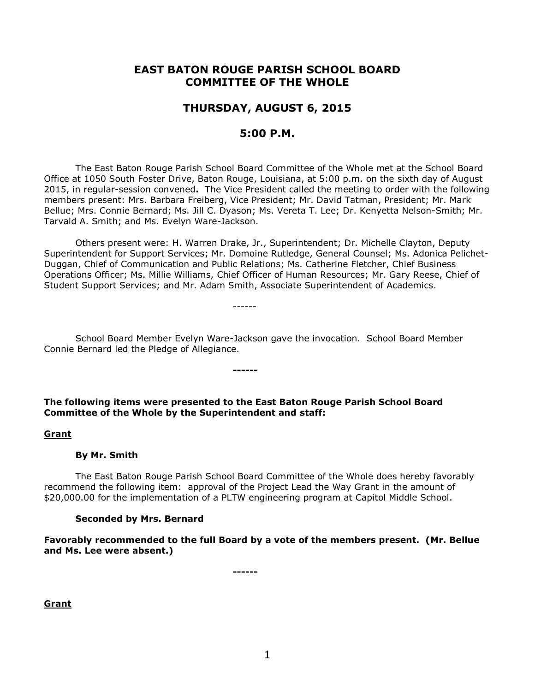# **EAST BATON ROUGE PARISH SCHOOL BOARD COMMITTEE OF THE WHOLE**

# **THURSDAY, AUGUST 6, 2015**

# **5:00 P.M.**

The East Baton Rouge Parish School Board Committee of the Whole met at the School Board Office at 1050 South Foster Drive, Baton Rouge, Louisiana, at 5:00 p.m. on the sixth day of August 2015, in regular-session convened**.** The Vice President called the meeting to order with the following members present: Mrs. Barbara Freiberg, Vice President; Mr. David Tatman, President; Mr. Mark Bellue; Mrs. Connie Bernard; Ms. Jill C. Dyason; Ms. Vereta T. Lee; Dr. Kenyetta Nelson-Smith; Mr. Tarvald A. Smith; and Ms. Evelyn Ware-Jackson.

Others present were: H. Warren Drake, Jr., Superintendent; Dr. Michelle Clayton, Deputy Superintendent for Support Services; Mr. Domoine Rutledge, General Counsel; Ms. Adonica Pelichet-Duggan, Chief of Communication and Public Relations; Ms. Catherine Fletcher, Chief Business Operations Officer; Ms. Millie Williams, Chief Officer of Human Resources; Mr. Gary Reese, Chief of Student Support Services; and Mr. Adam Smith, Associate Superintendent of Academics.

School Board Member Evelyn Ware-Jackson gave the invocation. School Board Member Connie Bernard led the Pledge of Allegiance.

------

**The following items were presented to the East Baton Rouge Parish School Board Committee of the Whole by the Superintendent and staff:**

**------**

### **Grant**

#### **By Mr. Smith**

The East Baton Rouge Parish School Board Committee of the Whole does hereby favorably recommend the following item: approval of the Project Lead the Way Grant in the amount of \$20,000.00 for the implementation of a PLTW engineering program at Capitol Middle School.

#### **Seconded by Mrs. Bernard**

**Favorably recommended to the full Board by a vote of the members present. (Mr. Bellue and Ms. Lee were absent.)**

**------**

**Grant**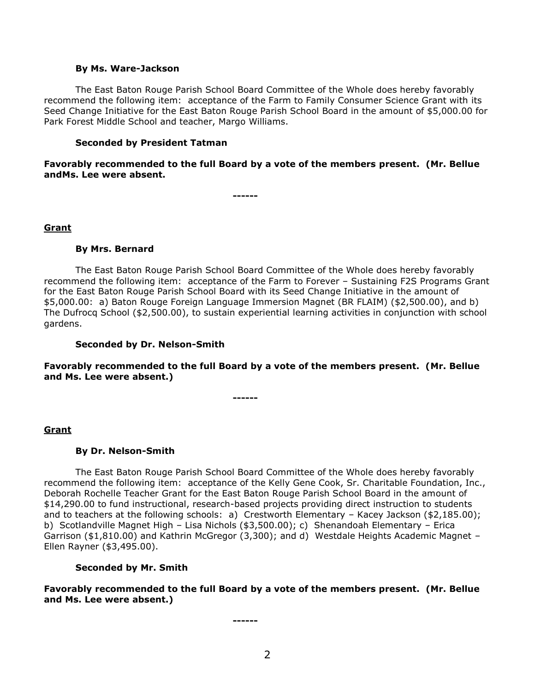#### **By Ms. Ware-Jackson**

The East Baton Rouge Parish School Board Committee of the Whole does hereby favorably recommend the following item: acceptance of the Farm to Family Consumer Science Grant with its Seed Change Initiative for the East Baton Rouge Parish School Board in the amount of \$5,000.00 for Park Forest Middle School and teacher, Margo Williams.

#### **Seconded by President Tatman**

**Favorably recommended to the full Board by a vote of the members present. (Mr. Bellue andMs. Lee were absent.**

**------**

### **Grant**

#### **By Mrs. Bernard**

The East Baton Rouge Parish School Board Committee of the Whole does hereby favorably recommend the following item: acceptance of the Farm to Forever – Sustaining F2S Programs Grant for the East Baton Rouge Parish School Board with its Seed Change Initiative in the amount of \$5,000.00: a) Baton Rouge Foreign Language Immersion Magnet (BR FLAIM) (\$2,500.00), and b) The Dufrocq School (\$2,500.00), to sustain experiential learning activities in conjunction with school gardens.

### **Seconded by Dr. Nelson-Smith**

**Favorably recommended to the full Board by a vote of the members present. (Mr. Bellue and Ms. Lee were absent.)**

**------**

# **Grant**

# **By Dr. Nelson-Smith**

The East Baton Rouge Parish School Board Committee of the Whole does hereby favorably recommend the following item: acceptance of the Kelly Gene Cook, Sr. Charitable Foundation, Inc., Deborah Rochelle Teacher Grant for the East Baton Rouge Parish School Board in the amount of \$14,290.00 to fund instructional, research-based projects providing direct instruction to students and to teachers at the following schools: a) Crestworth Elementary - Kacey Jackson (\$2,185.00); b) Scotlandville Magnet High – Lisa Nichols (\$3,500.00); c) Shenandoah Elementary – Erica Garrison (\$1,810.00) and Kathrin McGregor (3,300); and d) Westdale Heights Academic Magnet – Ellen Rayner (\$3,495.00).

#### **Seconded by Mr. Smith**

**Favorably recommended to the full Board by a vote of the members present. (Mr. Bellue and Ms. Lee were absent.)**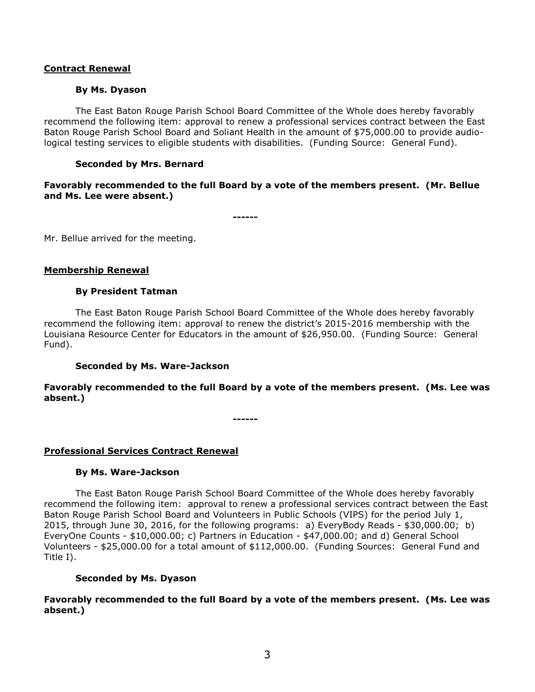# **Contract Renewal**

### **By Ms. Dyason**

The East Baton Rouge Parish School Board Committee of the Whole does hereby favorably recommend the following item: approval to renew a professional services contract between the East Baton Rouge Parish School Board and Soliant Health in the amount of \$75,000.00 to provide audiological testing services to eligible students with disabilities. (Funding Source: General Fund).

# **Seconded by Mrs. Bernard**

# **Favorably recommended to the full Board by a vote of the members present. (Mr. Bellue and Ms. Lee were absent.)**

**------**

Mr. Bellue arrived for the meeting.

### **Membership Renewal**

### **By President Tatman**

The East Baton Rouge Parish School Board Committee of the Whole does hereby favorably recommend the following item: approval to renew the district's 2015-2016 membership with the Louisiana Resource Center for Educators in the amount of \$26,950.00. (Funding Source: General Fund).

# **Seconded by Ms. Ware-Jackson**

# **Favorably recommended to the full Board by a vote of the members present. (Ms. Lee was absent.)**

**------**

# **Professional Services Contract Renewal**

#### **By Ms. Ware-Jackson**

The East Baton Rouge Parish School Board Committee of the Whole does hereby favorably recommend the following item: approval to renew a professional services contract between the East Baton Rouge Parish School Board and Volunteers in Public Schools (VIPS) for the period July 1, 2015, through June 30, 2016, for the following programs: a) EveryBody Reads - \$30,000.00; b) EveryOne Counts - \$10,000.00; c) Partners in Education - \$47,000.00; and d) General School Volunteers - \$25,000.00 for a total amount of \$112,000.00. (Funding Sources: General Fund and Title I).

#### **Seconded by Ms. Dyason**

**Favorably recommended to the full Board by a vote of the members present. (Ms. Lee was absent.)**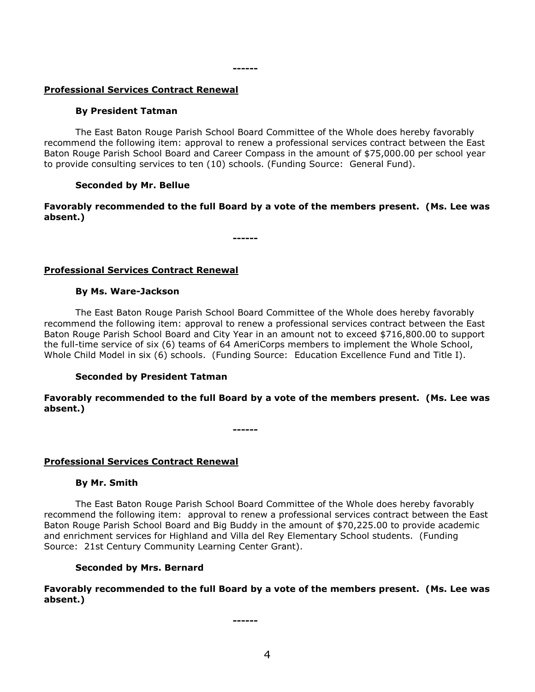# **Professional Services Contract Renewal**

### **By President Tatman**

The East Baton Rouge Parish School Board Committee of the Whole does hereby favorably recommend the following item: approval to renew a professional services contract between the East Baton Rouge Parish School Board and Career Compass in the amount of \$75,000.00 per school year to provide consulting services to ten (10) schools. (Funding Source: General Fund).

### **Seconded by Mr. Bellue**

# **Favorably recommended to the full Board by a vote of the members present. (Ms. Lee was absent.)**

**------**

# **Professional Services Contract Renewal**

#### **By Ms. Ware-Jackson**

The East Baton Rouge Parish School Board Committee of the Whole does hereby favorably recommend the following item: approval to renew a professional services contract between the East Baton Rouge Parish School Board and City Year in an amount not to exceed \$716,800.00 to support the full-time service of six (6) teams of 64 AmeriCorps members to implement the Whole School, Whole Child Model in six (6) schools. (Funding Source: Education Excellence Fund and Title I).

# **Seconded by President Tatman**

# **Favorably recommended to the full Board by a vote of the members present. (Ms. Lee was absent.)**

**------**

# **Professional Services Contract Renewal**

# **By Mr. Smith**

The East Baton Rouge Parish School Board Committee of the Whole does hereby favorably recommend the following item: approval to renew a professional services contract between the East Baton Rouge Parish School Board and Big Buddy in the amount of \$70,225.00 to provide academic and enrichment services for Highland and Villa del Rey Elementary School students. (Funding Source: 21st Century Community Learning Center Grant).

#### **Seconded by Mrs. Bernard**

**Favorably recommended to the full Board by a vote of the members present. (Ms. Lee was absent.)**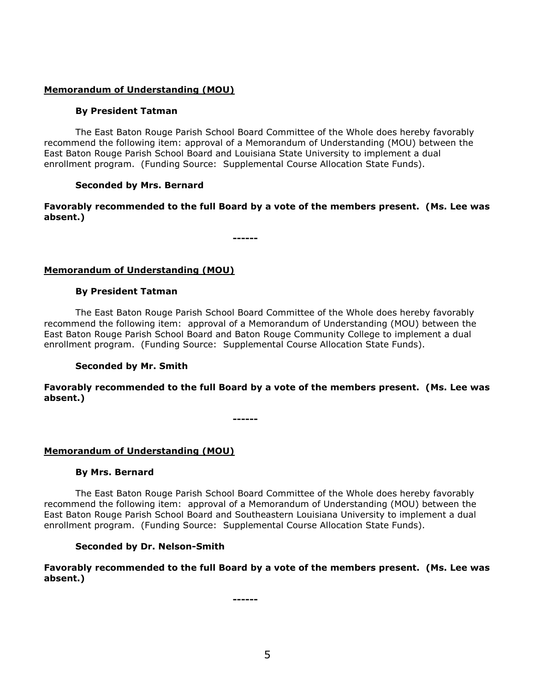# **Memorandum of Understanding (MOU)**

# **By President Tatman**

The East Baton Rouge Parish School Board Committee of the Whole does hereby favorably recommend the following item: approval of a Memorandum of Understanding (MOU) between the East Baton Rouge Parish School Board and Louisiana State University to implement a dual enrollment program. (Funding Source: Supplemental Course Allocation State Funds).

# **Seconded by Mrs. Bernard**

**Favorably recommended to the full Board by a vote of the members present. (Ms. Lee was absent.)**

**------**

# **Memorandum of Understanding (MOU)**

# **By President Tatman**

The East Baton Rouge Parish School Board Committee of the Whole does hereby favorably recommend the following item: approval of a Memorandum of Understanding (MOU) between the East Baton Rouge Parish School Board and Baton Rouge Community College to implement a dual enrollment program. (Funding Source: Supplemental Course Allocation State Funds).

# **Seconded by Mr. Smith**

**Favorably recommended to the full Board by a vote of the members present. (Ms. Lee was absent.)**

**------**

# **Memorandum of Understanding (MOU)**

#### **By Mrs. Bernard**

The East Baton Rouge Parish School Board Committee of the Whole does hereby favorably recommend the following item: approval of a Memorandum of Understanding (MOU) between the East Baton Rouge Parish School Board and Southeastern Louisiana University to implement a dual enrollment program. (Funding Source: Supplemental Course Allocation State Funds).

# **Seconded by Dr. Nelson-Smith**

# **Favorably recommended to the full Board by a vote of the members present. (Ms. Lee was absent.)**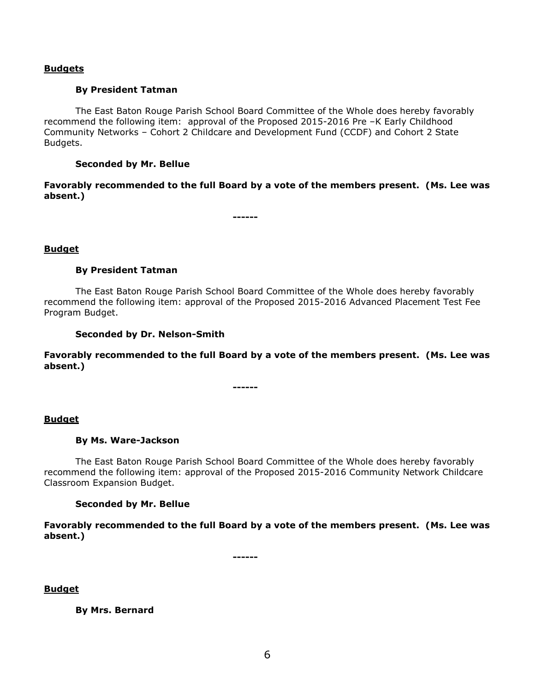### **Budgets**

### **By President Tatman**

The East Baton Rouge Parish School Board Committee of the Whole does hereby favorably recommend the following item: approval of the Proposed 2015-2016 Pre –K Early Childhood Community Networks – Cohort 2 Childcare and Development Fund (CCDF) and Cohort 2 State Budgets.

### **Seconded by Mr. Bellue**

**Favorably recommended to the full Board by a vote of the members present. (Ms. Lee was absent.)**

**------**

### **Budget**

### **By President Tatman**

The East Baton Rouge Parish School Board Committee of the Whole does hereby favorably recommend the following item: approval of the Proposed 2015-2016 Advanced Placement Test Fee Program Budget.

### **Seconded by Dr. Nelson-Smith**

**Favorably recommended to the full Board by a vote of the members present. (Ms. Lee was absent.)**

**------**

#### **Budget**

#### **By Ms. Ware-Jackson**

The East Baton Rouge Parish School Board Committee of the Whole does hereby favorably recommend the following item: approval of the Proposed 2015-2016 Community Network Childcare Classroom Expansion Budget.

### **Seconded by Mr. Bellue**

**Favorably recommended to the full Board by a vote of the members present. (Ms. Lee was absent.)**

**------**

**Budget**

**By Mrs. Bernard**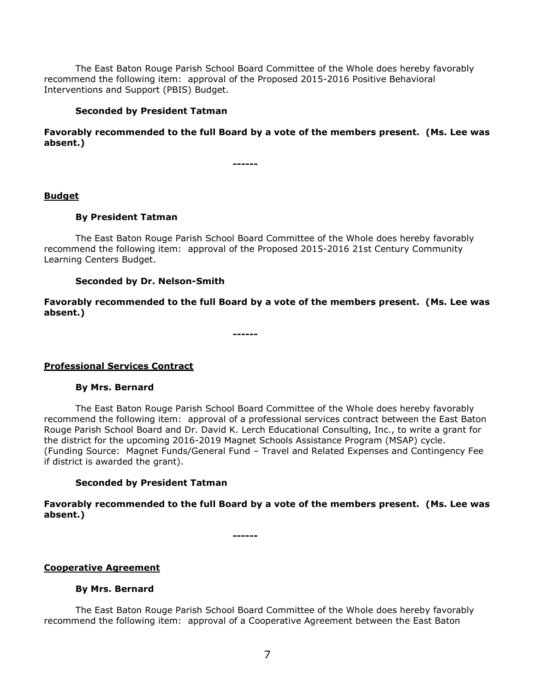The East Baton Rouge Parish School Board Committee of the Whole does hereby favorably recommend the following item: approval of the Proposed 2015-2016 Positive Behavioral Interventions and Support (PBIS) Budget.

# **Seconded by President Tatman**

**Favorably recommended to the full Board by a vote of the members present. (Ms. Lee was absent.)**

**------**

# **Budget**

# **By President Tatman**

The East Baton Rouge Parish School Board Committee of the Whole does hereby favorably recommend the following item: approval of the Proposed 2015-2016 21st Century Community Learning Centers Budget.

# **Seconded by Dr. Nelson-Smith**

**Favorably recommended to the full Board by a vote of the members present. (Ms. Lee was absent.)**

**------**

# **Professional Services Contract**

# **By Mrs. Bernard**

The East Baton Rouge Parish School Board Committee of the Whole does hereby favorably recommend the following item: approval of a professional services contract between the East Baton Rouge Parish School Board and Dr. David K. Lerch Educational Consulting, Inc., to write a grant for the district for the upcoming 2016-2019 Magnet Schools Assistance Program (MSAP) cycle. (Funding Source: Magnet Funds/General Fund – Travel and Related Expenses and Contingency Fee if district is awarded the grant).

# **Seconded by President Tatman**

**Favorably recommended to the full Board by a vote of the members present. (Ms. Lee was absent.)**

**------**

# **Cooperative Agreement**

# **By Mrs. Bernard**

The East Baton Rouge Parish School Board Committee of the Whole does hereby favorably recommend the following item: approval of a Cooperative Agreement between the East Baton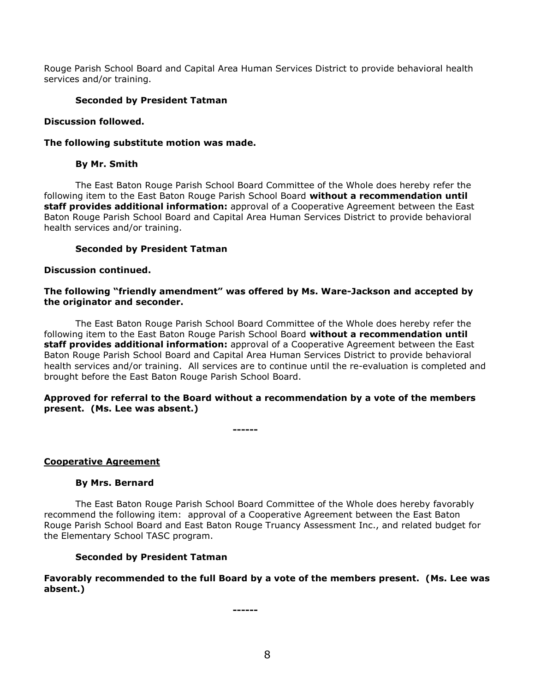Rouge Parish School Board and Capital Area Human Services District to provide behavioral health services and/or training.

# **Seconded by President Tatman**

### **Discussion followed.**

### **The following substitute motion was made.**

### **By Mr. Smith**

The East Baton Rouge Parish School Board Committee of the Whole does hereby refer the following item to the East Baton Rouge Parish School Board **without a recommendation until staff provides additional information:** approval of a Cooperative Agreement between the East Baton Rouge Parish School Board and Capital Area Human Services District to provide behavioral health services and/or training.

### **Seconded by President Tatman**

### **Discussion continued.**

# **The following "friendly amendment" was offered by Ms. Ware-Jackson and accepted by the originator and seconder.**

The East Baton Rouge Parish School Board Committee of the Whole does hereby refer the following item to the East Baton Rouge Parish School Board **without a recommendation until staff provides additional information:** approval of a Cooperative Agreement between the East Baton Rouge Parish School Board and Capital Area Human Services District to provide behavioral health services and/or training. All services are to continue until the re-evaluation is completed and brought before the East Baton Rouge Parish School Board.

### **Approved for referral to the Board without a recommendation by a vote of the members present. (Ms. Lee was absent.)**

**------**

# **Cooperative Agreement**

#### **By Mrs. Bernard**

The East Baton Rouge Parish School Board Committee of the Whole does hereby favorably recommend the following item: approval of a Cooperative Agreement between the East Baton Rouge Parish School Board and East Baton Rouge Truancy Assessment Inc., and related budget for the Elementary School TASC program.

# **Seconded by President Tatman**

# **Favorably recommended to the full Board by a vote of the members present. (Ms. Lee was absent.)**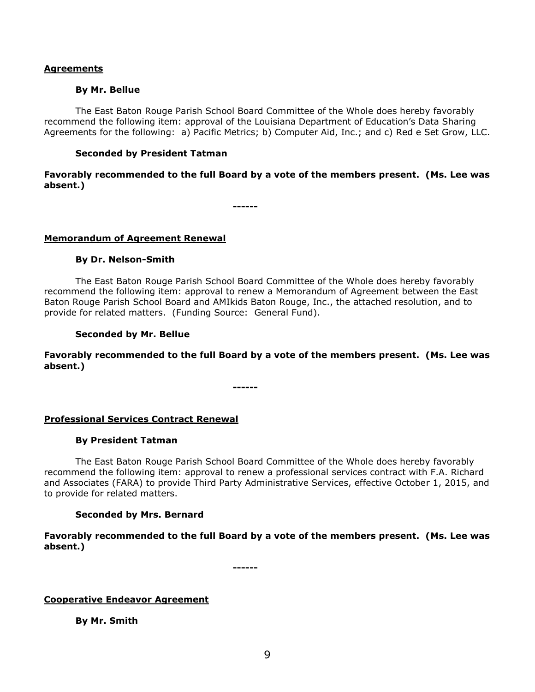### **Agreements**

### **By Mr. Bellue**

The East Baton Rouge Parish School Board Committee of the Whole does hereby favorably recommend the following item: approval of the Louisiana Department of Education's Data Sharing Agreements for the following: a) Pacific Metrics; b) Computer Aid, Inc.; and c) Red e Set Grow, LLC.

# **Seconded by President Tatman**

# **Favorably recommended to the full Board by a vote of the members present. (Ms. Lee was absent.)**

**------**

### **Memorandum of Agreement Renewal**

### **By Dr. Nelson-Smith**

The East Baton Rouge Parish School Board Committee of the Whole does hereby favorably recommend the following item: approval to renew a Memorandum of Agreement between the East Baton Rouge Parish School Board and AMIkids Baton Rouge, Inc., the attached resolution, and to provide for related matters. (Funding Source: General Fund).

### **Seconded by Mr. Bellue**

**Favorably recommended to the full Board by a vote of the members present. (Ms. Lee was absent.)**

**------**

#### **Professional Services Contract Renewal**

#### **By President Tatman**

The East Baton Rouge Parish School Board Committee of the Whole does hereby favorably recommend the following item: approval to renew a professional services contract with F.A. Richard and Associates (FARA) to provide Third Party Administrative Services, effective October 1, 2015, and to provide for related matters.

#### **Seconded by Mrs. Bernard**

**Favorably recommended to the full Board by a vote of the members present. (Ms. Lee was absent.)**

**------**

#### **Cooperative Endeavor Agreement**

**By Mr. Smith**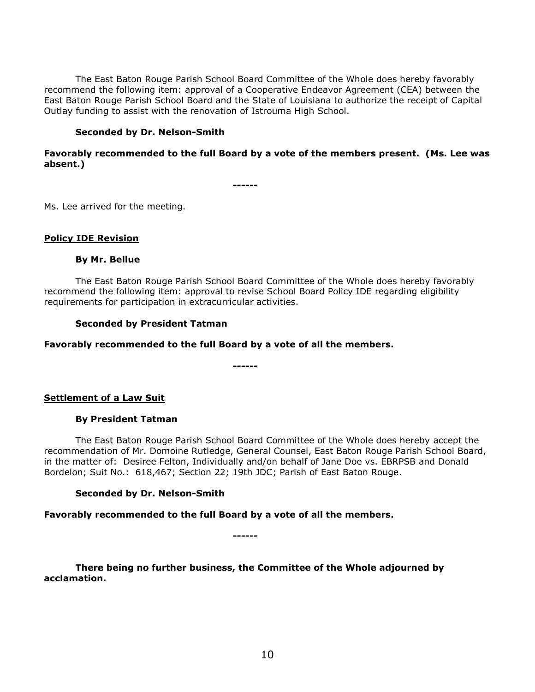The East Baton Rouge Parish School Board Committee of the Whole does hereby favorably recommend the following item: approval of a Cooperative Endeavor Agreement (CEA) between the East Baton Rouge Parish School Board and the State of Louisiana to authorize the receipt of Capital Outlay funding to assist with the renovation of Istrouma High School.

# **Seconded by Dr. Nelson-Smith**

# **Favorably recommended to the full Board by a vote of the members present. (Ms. Lee was absent.)**

**------**

Ms. Lee arrived for the meeting.

# **Policy IDE Revision**

# **By Mr. Bellue**

The East Baton Rouge Parish School Board Committee of the Whole does hereby favorably recommend the following item: approval to revise School Board Policy IDE regarding eligibility requirements for participation in extracurricular activities.

### **Seconded by President Tatman**

### **Favorably recommended to the full Board by a vote of all the members.**

**------**

**Settlement of a Law Suit**

# **By President Tatman**

The East Baton Rouge Parish School Board Committee of the Whole does hereby accept the recommendation of Mr. Domoine Rutledge, General Counsel, East Baton Rouge Parish School Board, in the matter of: Desiree Felton, Individually and/on behalf of Jane Doe vs. EBRPSB and Donald Bordelon; Suit No.: 618,467; Section 22; 19th JDC; Parish of East Baton Rouge.

# **Seconded by Dr. Nelson-Smith**

**Favorably recommended to the full Board by a vote of all the members.**

**------**

**There being no further business, the Committee of the Whole adjourned by acclamation.**